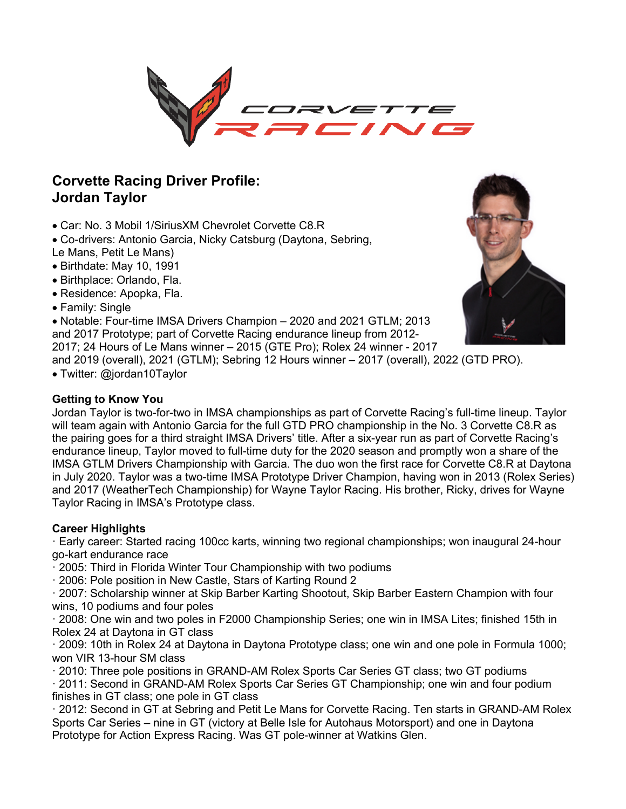

# **Corvette Racing Driver Profile: Jordan Taylor**

- Car: No. 3 Mobil 1/SiriusXM Chevrolet Corvette C8.R
- Co-drivers: Antonio Garcia, Nicky Catsburg (Daytona, Sebring,
- Le Mans, Petit Le Mans)
- Birthdate: May 10, 1991
- Birthplace: Orlando, Fla.
- Residence: Apopka, Fla.
- Family: Single

• Notable: Four-time IMSA Drivers Champion – 2020 and 2021 GTLM; 2013

and 2017 Prototype; part of Corvette Racing endurance lineup from 2012-

2017; 24 Hours of Le Mans winner – 2015 (GTE Pro); Rolex 24 winner - 2017

and 2019 (overall), 2021 (GTLM); Sebring 12 Hours winner – 2017 (overall), 2022 (GTD PRO).

• Twitter: @jordan10Taylor

## **Getting to Know You**

Jordan Taylor is two-for-two in IMSA championships as part of Corvette Racing's full-time lineup. Taylor will team again with Antonio Garcia for the full GTD PRO championship in the No. 3 Corvette C8.R as the pairing goes for a third straight IMSA Drivers' title. After a six-year run as part of Corvette Racing's endurance lineup, Taylor moved to full-time duty for the 2020 season and promptly won a share of the IMSA GTLM Drivers Championship with Garcia. The duo won the first race for Corvette C8.R at Daytona in July 2020. Taylor was a two-time IMSA Prototype Driver Champion, having won in 2013 (Rolex Series) and 2017 (WeatherTech Championship) for Wayne Taylor Racing. His brother, Ricky, drives for Wayne Taylor Racing in IMSA's Prototype class.

# **Career Highlights**

· Early career: Started racing 100cc karts, winning two regional championships; won inaugural 24-hour go-kart endurance race

· 2005: Third in Florida Winter Tour Championship with two podiums

· 2006: Pole position in New Castle, Stars of Karting Round 2

· 2007: Scholarship winner at Skip Barber Karting Shootout, Skip Barber Eastern Champion with four wins, 10 podiums and four poles

· 2008: One win and two poles in F2000 Championship Series; one win in IMSA Lites; finished 15th in Rolex 24 at Daytona in GT class

· 2009: 10th in Rolex 24 at Daytona in Daytona Prototype class; one win and one pole in Formula 1000; won VIR 13-hour SM class

· 2010: Three pole positions in GRAND-AM Rolex Sports Car Series GT class; two GT podiums

· 2011: Second in GRAND-AM Rolex Sports Car Series GT Championship; one win and four podium finishes in GT class; one pole in GT class

· 2012: Second in GT at Sebring and Petit Le Mans for Corvette Racing. Ten starts in GRAND-AM Rolex Sports Car Series – nine in GT (victory at Belle Isle for Autohaus Motorsport) and one in Daytona Prototype for Action Express Racing. Was GT pole-winner at Watkins Glen.

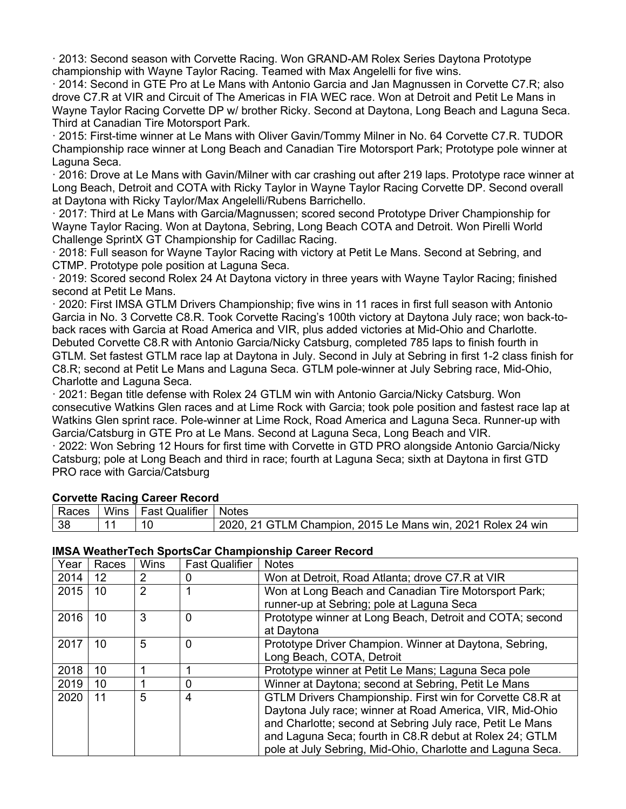· 2013: Second season with Corvette Racing. Won GRAND-AM Rolex Series Daytona Prototype championship with Wayne Taylor Racing. Teamed with Max Angelelli for five wins.

· 2014: Second in GTE Pro at Le Mans with Antonio Garcia and Jan Magnussen in Corvette C7.R; also drove C7.R at VIR and Circuit of The Americas in FIA WEC race. Won at Detroit and Petit Le Mans in Wayne Taylor Racing Corvette DP w/ brother Ricky. Second at Daytona, Long Beach and Laguna Seca. Third at Canadian Tire Motorsport Park.

· 2015: First-time winner at Le Mans with Oliver Gavin/Tommy Milner in No. 64 Corvette C7.R. TUDOR Championship race winner at Long Beach and Canadian Tire Motorsport Park; Prototype pole winner at Laguna Seca.

· 2016: Drove at Le Mans with Gavin/Milner with car crashing out after 219 laps. Prototype race winner at Long Beach, Detroit and COTA with Ricky Taylor in Wayne Taylor Racing Corvette DP. Second overall at Daytona with Ricky Taylor/Max Angelelli/Rubens Barrichello.

· 2017: Third at Le Mans with Garcia/Magnussen; scored second Prototype Driver Championship for Wayne Taylor Racing. Won at Daytona, Sebring, Long Beach COTA and Detroit. Won Pirelli World Challenge SprintX GT Championship for Cadillac Racing.

· 2018: Full season for Wayne Taylor Racing with victory at Petit Le Mans. Second at Sebring, and CTMP. Prototype pole position at Laguna Seca.

· 2019: Scored second Rolex 24 At Daytona victory in three years with Wayne Taylor Racing; finished second at Petit Le Mans.

· 2020: First IMSA GTLM Drivers Championship; five wins in 11 races in first full season with Antonio Garcia in No. 3 Corvette C8.R. Took Corvette Racing's 100th victory at Daytona July race; won back-toback races with Garcia at Road America and VIR, plus added victories at Mid-Ohio and Charlotte. Debuted Corvette C8.R with Antonio Garcia/Nicky Catsburg, completed 785 laps to finish fourth in GTLM. Set fastest GTLM race lap at Daytona in July. Second in July at Sebring in first 1-2 class finish for C8.R; second at Petit Le Mans and Laguna Seca. GTLM pole-winner at July Sebring race, Mid-Ohio, Charlotte and Laguna Seca.

· 2021: Began title defense with Rolex 24 GTLM win with Antonio Garcia/Nicky Catsburg. Won consecutive Watkins Glen races and at Lime Rock with Garcia; took pole position and fastest race lap at Watkins Glen sprint race. Pole-winner at Lime Rock, Road America and Laguna Seca. Runner-up with Garcia/Catsburg in GTE Pro at Le Mans. Second at Laguna Seca, Long Beach and VIR.

· 2022: Won Sebring 12 Hours for first time with Corvette in GTD PRO alongside Antonio Garcia/Nicky Catsburg; pole at Long Beach and third in race; fourth at Laguna Seca; sixth at Daytona in first GTD PRO race with Garcia/Catsburg

| <b>COLVELLE INACTLINE CALCEL INCLOTU</b> |  |                               |                                                             |  |  |  |
|------------------------------------------|--|-------------------------------|-------------------------------------------------------------|--|--|--|
| Races                                    |  | Wins   Fast Qualifier   Notes |                                                             |  |  |  |
| 38                                       |  |                               | 2020, 21 GTLM Champion, 2015 Le Mans win, 2021 Rolex 24 win |  |  |  |

## **Corvette Racing Career Record**

#### **IMSA WeatherTech SportsCar Championship Career Record**

| Year | Races | <b>Wins</b>    | <b>Fast Qualifier</b> | <b>Notes</b>                                               |
|------|-------|----------------|-----------------------|------------------------------------------------------------|
| 2014 | 12    | 2              |                       | Won at Detroit, Road Atlanta; drove C7.R at VIR            |
| 2015 | 10    | $\overline{2}$ |                       | Won at Long Beach and Canadian Tire Motorsport Park;       |
|      |       |                |                       | runner-up at Sebring; pole at Laguna Seca                  |
| 2016 | 10    | 3              | $\Omega$              | Prototype winner at Long Beach, Detroit and COTA; second   |
|      |       |                |                       | at Daytona                                                 |
| 2017 | 10    | 5              | 0                     | Prototype Driver Champion. Winner at Daytona, Sebring,     |
|      |       |                |                       | Long Beach, COTA, Detroit                                  |
| 2018 | 10    |                |                       | Prototype winner at Petit Le Mans; Laguna Seca pole        |
| 2019 | 10    |                | 0                     | Winner at Daytona; second at Sebring, Petit Le Mans        |
| 2020 | 11    | 5              | 4                     | GTLM Drivers Championship. First win for Corvette C8.R at  |
|      |       |                |                       | Daytona July race; winner at Road America, VIR, Mid-Ohio   |
|      |       |                |                       | and Charlotte; second at Sebring July race, Petit Le Mans  |
|      |       |                |                       | and Laguna Seca; fourth in C8.R debut at Rolex 24; GTLM    |
|      |       |                |                       | pole at July Sebring, Mid-Ohio, Charlotte and Laguna Seca. |